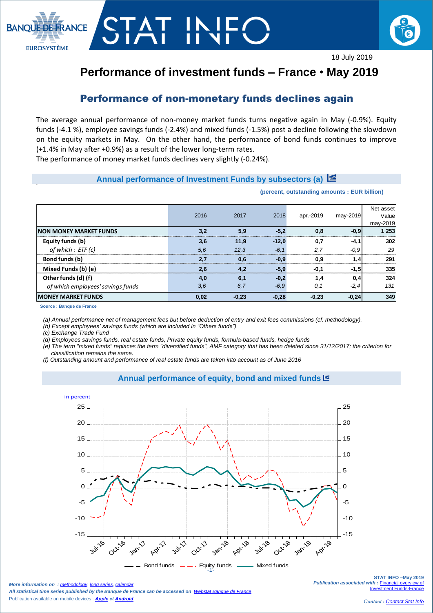



# **Performance of investment funds – France** • **May 2019**

## Performance of non-monetary funds declines again

The average annual performance of non-money market funds turns negative again in May (-0.9%). Equity funds (-4.1 %), employee savings funds (-2.4%) and mixed funds (-1.5%) post a decline following the slowdown on the equity markets in May. On the other hand, the performance of bond funds continues to improve (+1.4% in May after +0.9%) as a result of the lower long-term rates.

The performance of money market funds declines very slightly (-0.24%).

### **Annual performance of Investment Funds by subsectors (a)**

#### **(percent, outstanding amounts : EUR billion)**

|                                   |      |         |         |           |          | Net asset |
|-----------------------------------|------|---------|---------|-----------|----------|-----------|
|                                   | 2016 | 2017    | 2018    | apr.-2019 | may-2019 | Value     |
|                                   |      |         |         |           |          | may-2019  |
| <b>INON MONEY MARKET FUNDS</b>    | 3.2  | 5,9     | $-5.2$  | 0.8       | $-0,9$   | 1 253     |
| Equity funds (b)                  | 3,6  | 11.9    | $-12.0$ | 0.7       | $-4,1$   | 302       |
| of which : ETF (c)                | 5,6  | 12.3    | $-6.1$  | 2,7       | $-0.9$   | 29        |
| Bond funds (b)                    | 2.7  | 0.6     | $-0.9$  | 0,9       | 1,4      | 291       |
| Mixed Funds (b) (e)               | 2,6  | 4.2     | $-5.9$  | $-0.1$    | $-1,5$   | 335       |
| Other funds (d) (f)               | 4,0  | 6,1     | $-0,2$  | 1,4       | 0,4      | 324       |
| of which employees' savings funds | 3,6  | 6,7     | $-6,9$  | 0.1       | $-2, 4$  | 131       |
| <b>IMONEY MARKET FUNDS</b>        | 0,02 | $-0,23$ | $-0,28$ | $-0,23$   | $-0,24$  | 349       |

**Source : Banque de France**

 $\overline{\phantom{a}}$ 

*(a) Annual performance net of management fees but before deduction of entry and exit fees commissions (cf. methodology).*

*(b) Except employees' savings funds (which are included in "Others funds")*

*(c) Exchange Trade Fund* 

*(d) Employees savings funds, real estate funds, Private equity funds, formula-based funds, hedge funds*

*(e) The term "mixed funds" replaces the term "diversified funds", AMF category that has been deleted since 31/12/2017; the criterion for classification remains the same.*

**Annual performance of equity, bond and mixed funds**

*(f) Outstanding amount and performance of real estate funds are taken into account as of June 2016*



Bond funds  $\qquad$  - Equity funds  $\qquad$  Mixed funds

*More information on : [methodology](https://www.banque-france.fr/en/node/21464), [long series](http://webstat.banque-france.fr/en/browse.do?node=5384218), [calendar](https://www.banque-france.fr/en/statistics/calendar)ry All statistical time series published by the Banque de France can be accessed on [Webstat Banque de France](http://webstat.banque-france.fr/en/)* Publication available on mobile devices : *[Apple](https://itunes.apple.com/fr/app/banquefrance/id663817914?mt=8) e[t Android](https://play.google.com/store/apps/details?id=fr.bdf.mobile&feature=search_result#?t=W251bGwsMSwyLDEsImZyLmJkZi5tb2JpbGUiXQ)*

 $\frac{1}{1-\frac{1}{1-\frac{1}{1-\frac{1}{1-\frac{1}{1-\frac{1}{1-\frac{1}{1-\frac{1}{1-\frac{1}{1-\frac{1}{1-\frac{1}{1-\frac{1}{1-\frac{1}{1-\frac{1}{1-\frac{1}{1-\frac{1}{1-\frac{1}{1-\frac{1}{1-\frac{1}{1-\frac{1}{1-\frac{1}{1-\frac{1}{1-\frac{1}{1-\frac{1}{1-\frac{1}{1-\frac{1}{1-\frac{1}{1-\frac{1}{1-\frac{1}{1-\frac{1}{1-\frac{1}{1-\frac{1}{1-\frac{1}{1-\frac{1}{1-\frac{1}{1-\frac{1}{1-\frac{1$ 

**STAT INFO –May 2019** *Publication associated with :* [Financial overview of](https://www.banque-france.fr/en/node/4206)  **Investment Funds-Fra**